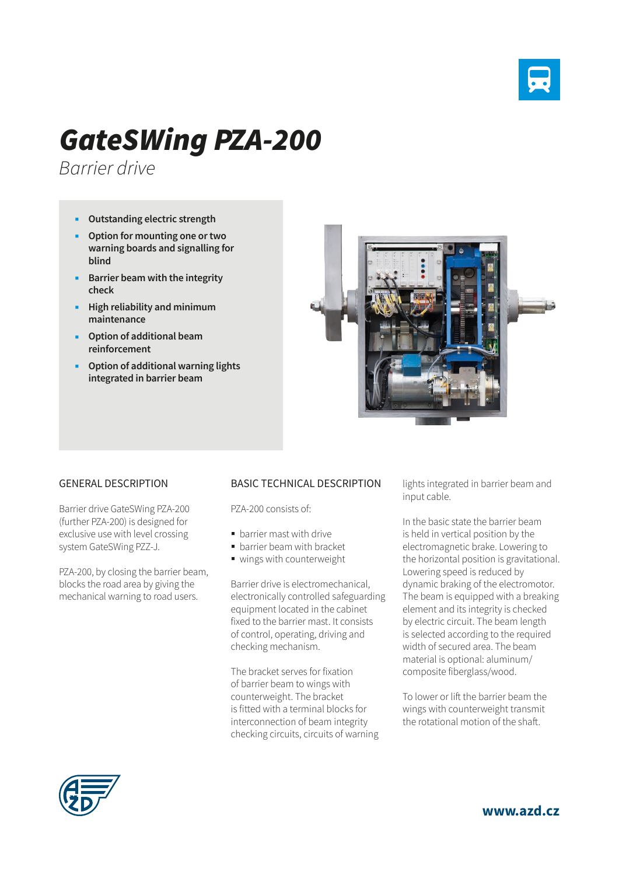

## *GateSWing PZA-200*

*Barrier drive*

- **Outstanding electric strength**
- **Option for mounting one or two warning boards and signalling for blind**
- **Barrier beam with the integrity check**
- **High reliability and minimum maintenance**
- **Option of additional beam reinforcement**
- **Option of additional warning lights integrated in barrier beam**



## GENERAL DESCRIPTION

Barrier drive GateSWing PZA-200 (further PZA-200) is designed for exclusive use with level crossing system GateSWing PZZ-J.

PZA-200, by closing the barrier beam, blocks the road area by giving the mechanical warning to road users.

## BASIC TECHNICAL DESCRIPTION

PZA-200 consists of:

- **barrier mast with drive**
- **barrier beam with bracket**
- wings with counterweight

Barrier drive is electromechanical, electronically controlled safeguarding equipment located in the cabinet fixed to the barrier mast. It consists of control, operating, driving and checking mechanism.

The bracket serves for fixation of barrier beam to wings with counterweight. The bracket is fitted with a terminal blocks for interconnection of beam integrity checking circuits, circuits of warning lights integrated in barrier beam and input cable.

In the basic state the barrier beam is held in vertical position by the electromagnetic brake. Lowering to the horizontal position is gravitational. Lowering speed is reduced by dynamic braking of the electromotor. The beam is equipped with a breaking element and its integrity is checked by electric circuit. The beam length is selected according to the required width of secured area. The beam material is optional: aluminum/ composite fiberglass/wood.

To lower or lift the barrier beam the wings with counterweight transmit the rotational motion of the shaft.



**www.azd.cz**